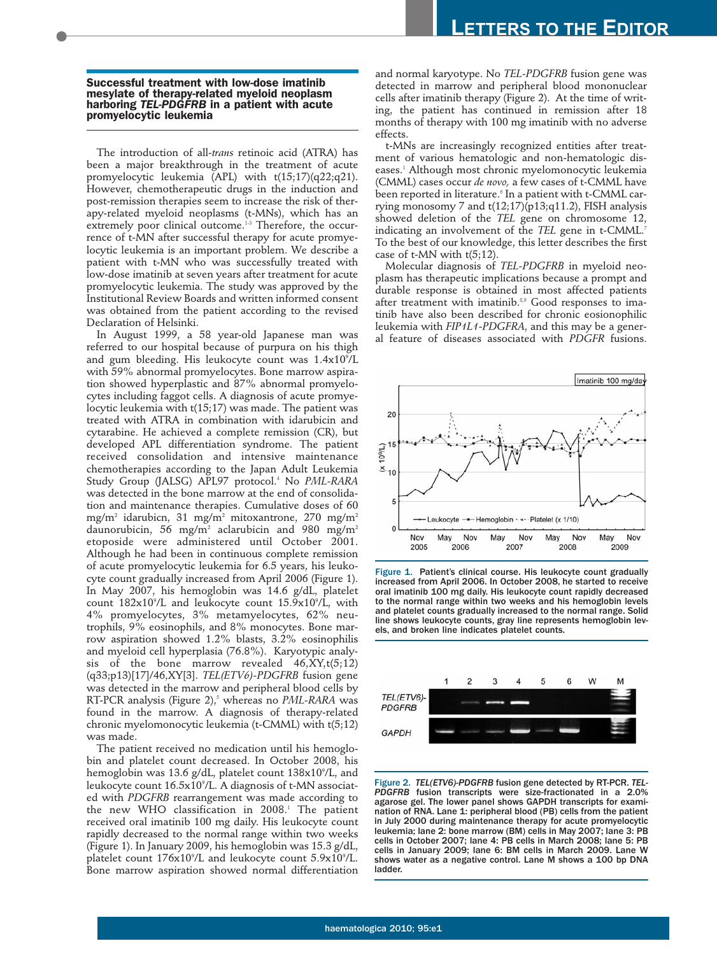**Successful treatment with low-dose imatinib mesylate of therapy-related myeloid neoplasm harboring** *TEL-PDGFRB* **in a patient with acute promyelocytic leukemia**

The introduction of all-*trans* retinoic acid (ATRA) has been a major breakthrough in the treatment of acute promyelocytic leukemia (APL) with t(15;17)(q22;q21). However, chemotherapeutic drugs in the induction and post-remission therapies seem to increase the risk of therapy-related myeloid neoplasms (t-MNs), which has an extremely poor clinical outcome.<sup>1-3</sup> Therefore, the occurrence of t-MN after successful therapy for acute promyelocytic leukemia is an important problem. We describe a patient with t-MN who was successfully treated with low-dose imatinib at seven years after treatment for acute promyelocytic leukemia. The study was approved by the Institutional Review Boards and written informed consent was obtained from the patient according to the revised Declaration of Helsinki.

In August 1999, a 58 year-old Japanese man was referred to our hospital because of purpura on his thigh and gum bleeding. His leukocyte count was 1.4x10°/L with 59% abnormal promyelocytes. Bone marrow aspiration showed hyperplastic and 87% abnormal promyelocytes including faggot cells. A diagnosis of acute promyelocytic leukemia with t(15;17) was made. The patient was treated with ATRA in combination with idarubicin and cytarabine. He achieved a complete remission (CR), but developed APL differentiation syndrome. The patient received consolidation and intensive maintenance chemotherapies according to the Japan Adult Leukemia Study Group (JALSG) APL97 protocol.<sup>4</sup> No *PML-RARA* was detected in the bone marrow at the end of consolidation and maintenance therapies. Cumulative doses of 60 mg/m<sup>2</sup> idarubicn, 31 mg/m<sup>2</sup> mitoxantrone, 270 mg/m<sup>2</sup> daunorubicin, 56 mg/m<sup>2</sup> aclarubicin and 980 mg/m<sup>2</sup> etoposide were administered until October 2001. Although he had been in continuous complete remission of acute promyelocytic leukemia for 6.5 years, his leukocyte count gradually increased from April 2006 (Figure 1). In May 2007, his hemoglobin was 14.6 g/dL, platelet count  $182x10^{\circ}/L$  and leukocyte count  $15.9x10^{\circ}/L$ , with 4% promyelocytes, 3% metamyelocytes, 62% neutrophils, 9% eosinophils, and 8% monocytes. Bone marrow aspiration showed 1.2% blasts, 3.2% eosinophilis and myeloid cell hyperplasia (76.8%). Karyotypic analysis of the bone marrow revealed 46,XY,t(5;12) (q33;p13)[17]/46,XY[3]. *TEL(ETV6)-PDGFRB* fusion gene was detected in the marrow and peripheral blood cells by RT-PCR analysis (Figure 2),<sup>5</sup> whereas no *PML-RARA* was found in the marrow. A diagnosis of therapy-related chronic myelomonocytic leukemia (t-CMML) with t(5;12) was made.

The patient received no medication until his hemoglobin and platelet count decreased. In October 2008, his hemoglobin was 13.6 g/dL, platelet count 138x10°/L, and leukocyte count 16.5x10°/L. A diagnosis of t-MN associated with *PDGFRB* rearrangement was made according to the new WHO classification in 2008.<sup>1</sup> The patient received oral imatinib 100 mg daily. His leukocyte count rapidly decreased to the normal range within two weeks (Figure 1). In January 2009, his hemoglobin was 15.3 g/dL, platelet count 176x10°/L and leukocyte count 5.9x10°/L. Bone marrow aspiration showed normal differentiation

and normal karyotype. No *TEL-PDGFRB* fusion gene was detected in marrow and peripheral blood mononuclear cells after imatinib therapy (Figure 2). At the time of writing, the patient has continued in remission after 18 months of therapy with 100 mg imatinib with no adverse effects.

t-MNs are increasingly recognized entities after treatment of various hematologic and non-hematologic diseases.<sup>1</sup> Although most chronic myelomonocytic leukemia (CMML) cases occur *de novo,* a few cases of t-CMML have been reported in literature.<sup>6</sup> In a patient with t-CMML carrying monosomy 7 and  $t(12;17)(p13;q11.2)$ , FISH analysis showed deletion of the *TEL* gene on chromosome 12, indicating an involvement of the *TEL* gene in t-CMML.<sup>7</sup> To the best of our knowledge, this letter describes the first case of t-MN with t(5;12).

Molecular diagnosis of *TEL-PDGFRB* in myeloid neoplasm has therapeutic implications because a prompt and durable response is obtained in most affected patients after treatment with imatinib.<sup>8,9</sup> Good responses to imatinib have also been described for chronic eosionophilic leukemia with *FIP1L1-PDGFRA*, and this may be a general feature of diseases associated with *PDGFR* fusions.



Figure 1. Patient's clinical course. His leukocyte count gradually increased from April 2006. In October 2008, he started to receive oral imatinib 100 mg daily. His leukocyte count rapidly decreased to the normal range within two weeks and his hemoglobin levels and platelet counts gradually increased to the normal range. Solid line shows leukocyte counts, gray line represents hemoglobin levels, and broken line indicates platelet counts.



Figure 2. *TEL(ETV6)-PDGFRB* fusion gene detected by RT-PCR. *TEL-PDGFRB* fusion transcripts were size-fractionated in a 2.0% agarose gel. The lower panel shows GAPDH transcripts for examination of RNA. Lane 1: peripheral blood (PB) cells from the patient in July 2000 during maintenance therapy for acute promyelocytic leukemia; lane 2: bone marrow (BM) cells in May 2007; lane 3: PB cells in October 2007; lane 4: PB cells in March 2008; lane 5: PB cells in January 2009; lane 6: BM cells in March 2009. Lane W shows water as a negative control. Lane M shows a 100 bp DNA ladder.